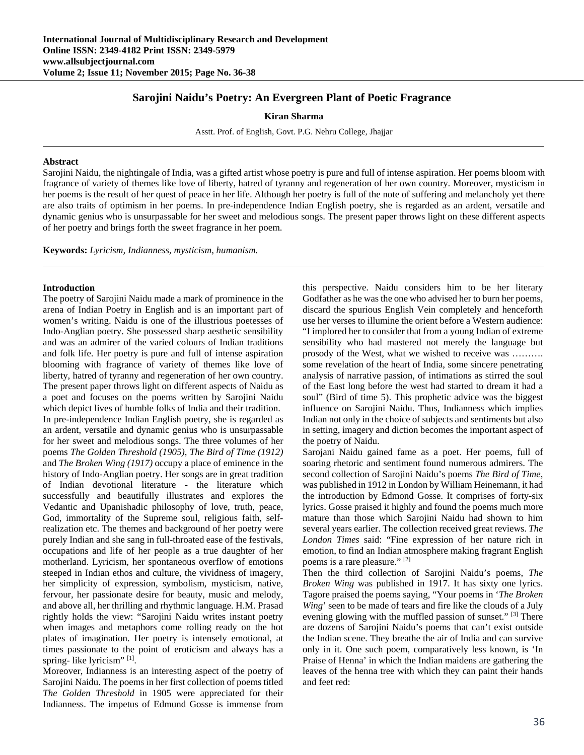## **Sarojini Naidu's Poetry: An Evergreen Plant of Poetic Fragrance**

**Kiran Sharma**

Asstt. Prof. of English, Govt. P.G. Nehru College, Jhajjar

## **Abstract**

Sarojini Naidu, the nightingale of India, was a gifted artist whose poetry is pure and full of intense aspiration. Her poems bloom with fragrance of variety of themes like love of liberty, hatred of tyranny and regeneration of her own country. Moreover, mysticism in her poems is the result of her quest of peace in her life. Although her poetry is full of the note of suffering and melancholy yet there are also traits of optimism in her poems. In pre-independence Indian English poetry, she is regarded as an ardent, versatile and dynamic genius who is unsurpassable for her sweet and melodious songs. The present paper throws light on these different aspects of her poetry and brings forth the sweet fragrance in her poem.

**Keywords:** *Lyricism, Indianness, mysticism, humanism.*

## **Introduction**

The poetry of Sarojini Naidu made a mark of prominence in the arena of Indian Poetry in English and is an important part of women's writing. Naidu is one of the illustrious poetesses of Indo-Anglian poetry. She possessed sharp aesthetic sensibility and was an admirer of the varied colours of Indian traditions and folk life. Her poetry is pure and full of intense aspiration blooming with fragrance of variety of themes like love of liberty, hatred of tyranny and regeneration of her own country. The present paper throws light on different aspects of Naidu as a poet and focuses on the poems written by Sarojini Naidu which depict lives of humble folks of India and their tradition. In pre-independence Indian English poetry, she is regarded as an ardent, versatile and dynamic genius who is unsurpassable for her sweet and melodious songs. The three volumes of her poems *The Golden Threshold (1905), The Bird of Time (1912)* and *The Broken Wing (1917)* occupy a place of eminence in the history of Indo-Anglian poetry. Her songs are in great tradition of Indian devotional literature - the literature which successfully and beautifully illustrates and explores the Vedantic and Upanishadic philosophy of love, truth, peace, God, immortality of the Supreme soul, religious faith, selfrealization etc. The themes and background of her poetry were purely Indian and she sang in full-throated ease of the festivals, occupations and life of her people as a true daughter of her motherland. Lyricism, her spontaneous overflow of emotions steeped in Indian ethos and culture, the vividness of imagery, her simplicity of expression, symbolism, mysticism, native, fervour, her passionate desire for beauty, music and melody, and above all, her thrilling and rhythmic language. H.M. Prasad rightly holds the view: "Sarojini Naidu writes instant poetry when images and metaphors come rolling ready on the hot plates of imagination. Her poetry is intensely emotional, at times passionate to the point of eroticism and always has a spring- like lyricism" [1].

Moreover, Indianness is an interesting aspect of the poetry of Sarojini Naidu. The poems in her first collection of poems titled *The Golden Threshold* in 1905 were appreciated for their Indianness. The impetus of Edmund Gosse is immense from

this perspective. Naidu considers him to be her literary Godfather as he was the one who advised her to burn her poems, discard the spurious English Vein completely and henceforth use her verses to illumine the orient before a Western audience: "I implored her to consider that from a young Indian of extreme sensibility who had mastered not merely the language but prosody of the West, what we wished to receive was ………. some revelation of the heart of India, some sincere penetrating analysis of narrative passion, of intimations as stirred the soul of the East long before the west had started to dream it had a soul" (Bird of time 5). This prophetic advice was the biggest influence on Sarojini Naidu. Thus, Indianness which implies Indian not only in the choice of subjects and sentiments but also in setting, imagery and diction becomes the important aspect of the poetry of Naidu.

Sarojani Naidu gained fame as a poet. Her poems, full of soaring rhetoric and sentiment found numerous admirers. The second collection of Sarojini Naidu's poems *The Bird of Time*, was published in 1912 in London by William Heinemann, it had the introduction by Edmond Gosse. It comprises of forty-six lyrics. Gosse praised it highly and found the poems much more mature than those which Sarojini Naidu had shown to him several years earlier. The collection received great reviews. *The London Times* said: "Fine expression of her nature rich in emotion, to find an Indian atmosphere making fragrant English poems is a rare pleasure." [2]

Then the third collection of Sarojini Naidu's poems, *The Broken Wing* was published in 1917. It has sixty one lyrics. Tagore praised the poems saying, "Your poems in '*The Broken Wing*' seen to be made of tears and fire like the clouds of a July evening glowing with the muffled passion of sunset." [3] There are dozens of Sarojini Naidu's poems that can't exist outside the Indian scene. They breathe the air of India and can survive only in it. One such poem, comparatively less known, is 'In Praise of Henna' in which the Indian maidens are gathering the leaves of the henna tree with which they can paint their hands and feet red: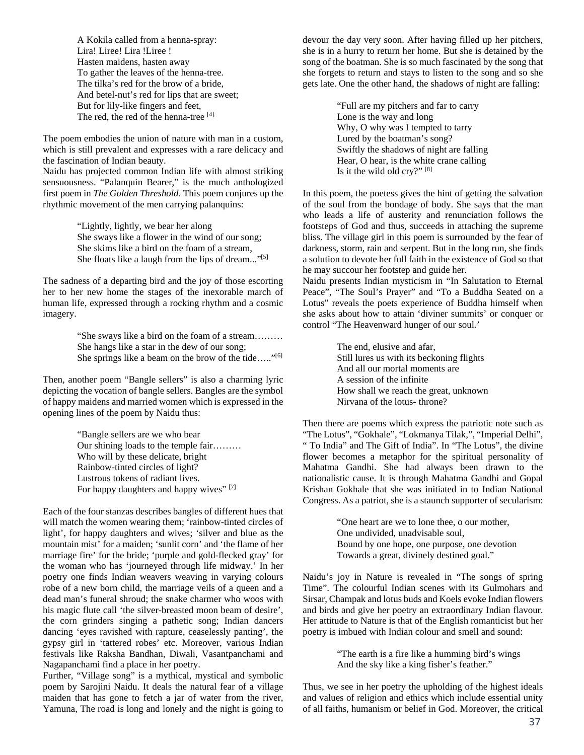A Kokila called from a henna-spray: Lira! Liree! Lira !Liree ! Hasten maidens, hasten away To gather the leaves of the henna-tree. The tilka's red for the brow of a bride, And betel-nut's red for lips that are sweet; But for lily-like fingers and feet, The red, the red of the henna-tree [4].

The poem embodies the union of nature with man in a custom, which is still prevalent and expresses with a rare delicacy and the fascination of Indian beauty.

Naidu has projected common Indian life with almost striking sensuousness. "Palanquin Bearer," is the much anthologized first poem in *The Golden Threshold*. This poem conjures up the rhythmic movement of the men carrying palanquins:

> "Lightly, lightly, we bear her along She sways like a flower in the wind of our song; She skims like a bird on the foam of a stream, She floats like a laugh from the lips of dream..."<sup>[5]</sup>

The sadness of a departing bird and the joy of those escorting her to her new home the stages of the inexorable march of human life, expressed through a rocking rhythm and a cosmic imagery.

> "She sways like a bird on the foam of a stream……… She hangs like a star in the dew of our song; She springs like a beam on the brow of the tide....."<sup>[6]</sup>

Then, another poem "Bangle sellers" is also a charming lyric depicting the vocation of bangle sellers. Bangles are the symbol of happy maidens and married women which is expressed in the opening lines of the poem by Naidu thus:

> "Bangle sellers are we who bear Our shining loads to the temple fair……… Who will by these delicate, bright Rainbow-tinted circles of light? Lustrous tokens of radiant lives. For happy daughters and happy wives" [7]

Each of the four stanzas describes bangles of different hues that will match the women wearing them; 'rainbow-tinted circles of light', for happy daughters and wives; 'silver and blue as the mountain mist' for a maiden; 'sunlit corn' and 'the flame of her marriage fire' for the bride; 'purple and gold-flecked gray' for the woman who has 'journeyed through life midway.' In her poetry one finds Indian weavers weaving in varying colours robe of a new born child, the marriage veils of a queen and a dead man's funeral shroud; the snake charmer who woos with his magic flute call 'the silver-breasted moon beam of desire', the corn grinders singing a pathetic song; Indian dancers dancing 'eyes ravished with rapture, ceaselessly panting', the gypsy girl in 'tattered robes' etc. Moreover, various Indian festivals like Raksha Bandhan, Diwali, Vasantpanchami and Nagapanchami find a place in her poetry.

Further, "Village song" is a mythical, mystical and symbolic poem by Sarojini Naidu. It deals the natural fear of a village maiden that has gone to fetch a jar of water from the river, Yamuna, The road is long and lonely and the night is going to devour the day very soon. After having filled up her pitchers, she is in a hurry to return her home. But she is detained by the song of the boatman. She is so much fascinated by the song that she forgets to return and stays to listen to the song and so she gets late. One the other hand, the shadows of night are falling:

> "Full are my pitchers and far to carry Lone is the way and long Why, O why was I tempted to tarry Lured by the boatman's song? Swiftly the shadows of night are falling Hear, O hear, is the white crane calling Is it the wild old cry?" [8]

In this poem, the poetess gives the hint of getting the salvation of the soul from the bondage of body. She says that the man who leads a life of austerity and renunciation follows the footsteps of God and thus, succeeds in attaching the supreme bliss. The village girl in this poem is surrounded by the fear of darkness, storm, rain and serpent. But in the long run, she finds a solution to devote her full faith in the existence of God so that he may succour her footstep and guide her.

Naidu presents Indian mysticism in "In Salutation to Eternal Peace", "The Soul's Prayer" and "To a Buddha Seated on a Lotus" reveals the poets experience of Buddha himself when she asks about how to attain 'diviner summits' or conquer or control "The Heavenward hunger of our soul.'

> The end, elusive and afar, Still lures us with its beckoning flights And all our mortal moments are A session of the infinite How shall we reach the great, unknown Nirvana of the lotus- throne?

Then there are poems which express the patriotic note such as "The Lotus", "Gokhale", "Lokmanya Tilak,", "Imperial Delhi", " To India" and The Gift of India". In "The Lotus", the divine flower becomes a metaphor for the spiritual personality of Mahatma Gandhi. She had always been drawn to the nationalistic cause. It is through Mahatma Gandhi and Gopal Krishan Gokhale that she was initiated in to Indian National Congress. As a patriot, she is a staunch supporter of secularism:

> "One heart are we to lone thee, o our mother, One undivided, unadvisable soul, Bound by one hope, one purpose, one devotion Towards a great, divinely destined goal."

Naidu's joy in Nature is revealed in "The songs of spring Time". The colourful Indian scenes with its Gulmohars and Sirsar, Champak and lotus buds and Koels evoke Indian flowers and birds and give her poetry an extraordinary Indian flavour. Her attitude to Nature is that of the English romanticist but her poetry is imbued with Indian colour and smell and sound:

> "The earth is a fire like a humming bird's wings And the sky like a king fisher's feather."

Thus, we see in her poetry the upholding of the highest ideals and values of religion and ethics which include essential unity of all faiths, humanism or belief in God. Moreover, the critical